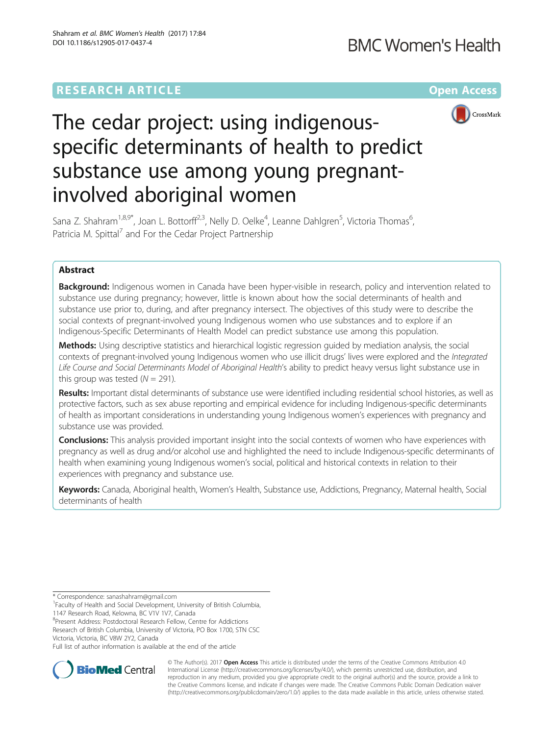# **RESEARCH ARTICLE Example 2014 12:30 The Community Community Community Community Community Community Community**

**BMC Women's Health** 



# The cedar project: using indigenousspecific determinants of health to predict substance use among young pregnantinvolved aboriginal women

Sana Z. Shahram<sup>1,8,9\*</sup>, Joan L. Bottorff<sup>2,3</sup>, Nelly D. Oelke<sup>4</sup>, Leanne Dahlgren<sup>5</sup>, Victoria Thomas<sup>6</sup> , Patricia M. Spittal<sup>7</sup> and For the Cedar Project Partnership

## Abstract

**Background:** Indigenous women in Canada have been hyper-visible in research, policy and intervention related to substance use during pregnancy; however, little is known about how the social determinants of health and substance use prior to, during, and after pregnancy intersect. The objectives of this study were to describe the social contexts of pregnant-involved young Indigenous women who use substances and to explore if an Indigenous-Specific Determinants of Health Model can predict substance use among this population.

Methods: Using descriptive statistics and hierarchical logistic regression guided by mediation analysis, the social contexts of pregnant-involved young Indigenous women who use illicit drugs' lives were explored and the Integrated Life Course and Social Determinants Model of Aboriginal Health's ability to predict heavy versus light substance use in this group was tested  $(N = 291)$ .

Results: Important distal determinants of substance use were identified including residential school histories, as well as protective factors, such as sex abuse reporting and empirical evidence for including Indigenous-specific determinants of health as important considerations in understanding young Indigenous women's experiences with pregnancy and substance use was provided.

Conclusions: This analysis provided important insight into the social contexts of women who have experiences with pregnancy as well as drug and/or alcohol use and highlighted the need to include Indigenous-specific determinants of health when examining young Indigenous women's social, political and historical contexts in relation to their experiences with pregnancy and substance use.

Keywords: Canada, Aboriginal health, Women's Health, Substance use, Addictions, Pregnancy, Maternal health, Social determinants of health

\* Correspondence: [sanashahram@gmail.com](mailto:sanashahram@gmail.com) <sup>1</sup>

<sup>1</sup>Faculty of Health and Social Development, University of British Columbia,

1147 Research Road, Kelowna, BC V1V 1V7, Canada

<sup>8</sup>Present Address: Postdoctoral Research Fellow, Centre for Addictions Research of British Columbia, University of Victoria, PO Box 1700, STN CSC Victoria, Victoria, BC V8W 2Y2, Canada

Full list of author information is available at the end of the article



© The Author(s). 2017 **Open Access** This article is distributed under the terms of the Creative Commons Attribution 4.0 International License [\(http://creativecommons.org/licenses/by/4.0/](http://creativecommons.org/licenses/by/4.0/)), which permits unrestricted use, distribution, and reproduction in any medium, provided you give appropriate credit to the original author(s) and the source, provide a link to the Creative Commons license, and indicate if changes were made. The Creative Commons Public Domain Dedication waiver [\(http://creativecommons.org/publicdomain/zero/1.0/](http://creativecommons.org/publicdomain/zero/1.0/)) applies to the data made available in this article, unless otherwise stated.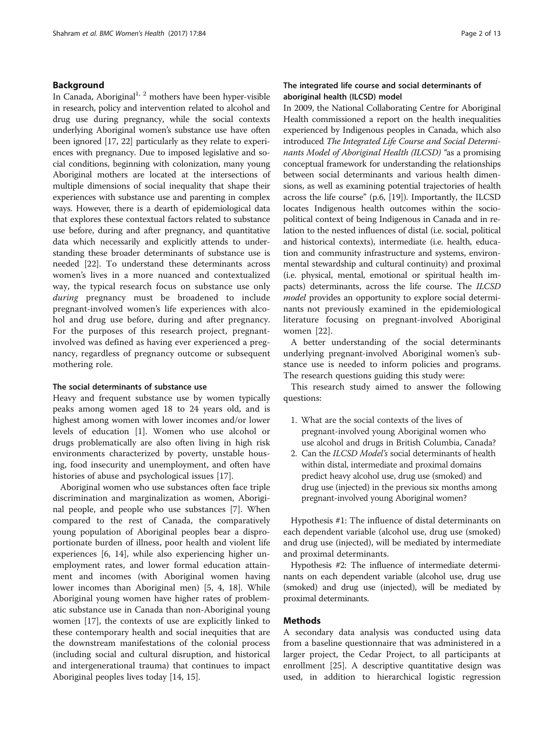## Background

In Canada, Aboriginal<sup>1, 2</sup> mothers have been hyper-visible in research, policy and intervention related to alcohol and drug use during pregnancy, while the social contexts underlying Aboriginal women's substance use have often been ignored [\[17](#page-11-0), [22\]](#page-11-0) particularly as they relate to experiences with pregnancy. Due to imposed legislative and social conditions, beginning with colonization, many young Aboriginal mothers are located at the intersections of multiple dimensions of social inequality that shape their experiences with substance use and parenting in complex ways. However, there is a dearth of epidemiological data that explores these contextual factors related to substance use before, during and after pregnancy, and quantitative data which necessarily and explicitly attends to understanding these broader determinants of substance use is needed [[22](#page-11-0)]. To understand these determinants across women's lives in a more nuanced and contextualized way, the typical research focus on substance use only during pregnancy must be broadened to include pregnant-involved women's life experiences with alcohol and drug use before, during and after pregnancy. For the purposes of this research project, pregnantinvolved was defined as having ever experienced a pregnancy, regardless of pregnancy outcome or subsequent mothering role.

#### The social determinants of substance use

Heavy and frequent substance use by women typically peaks among women aged 18 to 24 years old, and is highest among women with lower incomes and/or lower levels of education [\[1](#page-11-0)]. Women who use alcohol or drugs problematically are also often living in high risk environments characterized by poverty, unstable housing, food insecurity and unemployment, and often have histories of abuse and psychological issues [[17\]](#page-11-0).

Aboriginal women who use substances often face triple discrimination and marginalization as women, Aboriginal people, and people who use substances [[7](#page-11-0)]. When compared to the rest of Canada, the comparatively young population of Aboriginal peoples bear a disproportionate burden of illness, poor health and violent life experiences [[6, 14](#page-11-0)], while also experiencing higher unemployment rates, and lower formal education attainment and incomes (with Aboriginal women having lower incomes than Aboriginal men) [\[5](#page-11-0), [4](#page-11-0), [18\]](#page-11-0). While Aboriginal young women have higher rates of problematic substance use in Canada than non-Aboriginal young women [[17](#page-11-0)], the contexts of use are explicitly linked to these contemporary health and social inequities that are the downstream manifestations of the colonial process (including social and cultural disruption, and historical and intergenerational trauma) that continues to impact Aboriginal peoples lives today [\[14](#page-11-0), [15](#page-11-0)].

## The integrated life course and social determinants of aboriginal health (ILCSD) model

In 2009, the National Collaborating Centre for Aboriginal Health commissioned a report on the health inequalities experienced by Indigenous peoples in Canada, which also introduced The Integrated Life Course and Social Determinants Model of Aboriginal Health (ILCSD) "as a promising conceptual framework for understanding the relationships between social determinants and various health dimensions, as well as examining potential trajectories of health across the life course" (p.6, [\[19\]](#page-11-0)). Importantly, the ILCSD locates Indigenous health outcomes within the sociopolitical context of being Indigenous in Canada and in relation to the nested influences of distal (i.e. social, political and historical contexts), intermediate (i.e. health, education and community infrastructure and systems, environmental stewardship and cultural continuity) and proximal (i.e. physical, mental, emotional or spiritual health impacts) determinants, across the life course. The ILCSD model provides an opportunity to explore social determinants not previously examined in the epidemiological literature focusing on pregnant-involved Aboriginal women [\[22](#page-11-0)].

A better understanding of the social determinants underlying pregnant-involved Aboriginal women's substance use is needed to inform policies and programs. The research questions guiding this study were:

This research study aimed to answer the following questions:

- 1. What are the social contexts of the lives of pregnant-involved young Aboriginal women who use alcohol and drugs in British Columbia, Canada?
- 2. Can the *ILCSD Model's* social determinants of health within distal, intermediate and proximal domains predict heavy alcohol use, drug use (smoked) and drug use (injected) in the previous six months among pregnant-involved young Aboriginal women?

Hypothesis #1: The influence of distal determinants on each dependent variable (alcohol use, drug use (smoked) and drug use (injected), will be mediated by intermediate and proximal determinants.

Hypothesis #2: The influence of intermediate determinants on each dependent variable (alcohol use, drug use (smoked) and drug use (injected), will be mediated by proximal determinants.

### Methods

A secondary data analysis was conducted using data from a baseline questionnaire that was administered in a larger project, the Cedar Project, to all participants at enrollment [[25\]](#page-12-0). A descriptive quantitative design was used, in addition to hierarchical logistic regression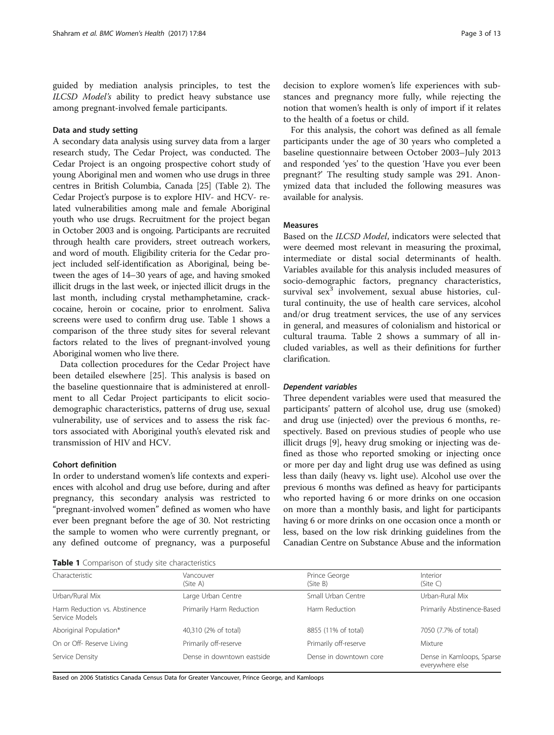guided by mediation analysis principles, to test the ILCSD Model's ability to predict heavy substance use among pregnant-involved female participants.

## Data and study setting

A secondary data analysis using survey data from a larger research study, The Cedar Project, was conducted. The Cedar Project is an ongoing prospective cohort study of young Aboriginal men and women who use drugs in three centres in British Columbia, Canada [[25](#page-12-0)] (Table [2](#page-3-0)). The Cedar Project's purpose is to explore HIV- and HCV- related vulnerabilities among male and female Aboriginal youth who use drugs. Recruitment for the project began in October 2003 and is ongoing. Participants are recruited through health care providers, street outreach workers, and word of mouth. Eligibility criteria for the Cedar project included self-identification as Aboriginal, being between the ages of 14–30 years of age, and having smoked illicit drugs in the last week, or injected illicit drugs in the last month, including crystal methamphetamine, crackcocaine, heroin or cocaine, prior to enrolment. Saliva screens were used to confirm drug use. Table 1 shows a comparison of the three study sites for several relevant factors related to the lives of pregnant-involved young Aboriginal women who live there.

Data collection procedures for the Cedar Project have been detailed elsewhere [\[25\]](#page-12-0). This analysis is based on the baseline questionnaire that is administered at enrollment to all Cedar Project participants to elicit sociodemographic characteristics, patterns of drug use, sexual vulnerability, use of services and to assess the risk factors associated with Aboriginal youth's elevated risk and transmission of HIV and HCV.

## Cohort definition

In order to understand women's life contexts and experiences with alcohol and drug use before, during and after pregnancy, this secondary analysis was restricted to "pregnant-involved women" defined as women who have ever been pregnant before the age of 30. Not restricting the sample to women who were currently pregnant, or any defined outcome of pregnancy, was a purposeful

Table 1 Comparison of study site characteristics

decision to explore women's life experiences with substances and pregnancy more fully, while rejecting the notion that women's health is only of import if it relates to the health of a foetus or child.

For this analysis, the cohort was defined as all female participants under the age of 30 years who completed a baseline questionnaire between October 2003–July 2013 and responded 'yes' to the question 'Have you ever been pregnant?' The resulting study sample was 291. Anonymized data that included the following measures was available for analysis.

## Measures

Based on the ILCSD Model, indicators were selected that were deemed most relevant in measuring the proximal, intermediate or distal social determinants of health. Variables available for this analysis included measures of socio-demographic factors, pregnancy characteristics, survival  $sex<sup>3</sup>$  involvement, sexual abuse histories, cultural continuity, the use of health care services, alcohol and/or drug treatment services, the use of any services in general, and measures of colonialism and historical or cultural trauma. Table [2](#page-3-0) shows a summary of all included variables, as well as their definitions for further clarification.

### Dependent variables

Three dependent variables were used that measured the participants' pattern of alcohol use, drug use (smoked) and drug use (injected) over the previous 6 months, respectively. Based on previous studies of people who use illicit drugs [\[9](#page-11-0)], heavy drug smoking or injecting was defined as those who reported smoking or injecting once or more per day and light drug use was defined as using less than daily (heavy vs. light use). Alcohol use over the previous 6 months was defined as heavy for participants who reported having 6 or more drinks on one occasion on more than a monthly basis, and light for participants having 6 or more drinks on one occasion once a month or less, based on the low risk drinking guidelines from the Canadian Centre on Substance Abuse and the information

| <b>I WINTE I</b> COMPANYON OF STAAT SITE CHARACTERISTICS |                            |                           |                                              |
|----------------------------------------------------------|----------------------------|---------------------------|----------------------------------------------|
| Characteristic                                           | Vancouver<br>(Site A)      | Prince George<br>(Site B) | Interior<br>(Site C)                         |
| Urban/Rural Mix                                          | Large Urban Centre         | Small Urban Centre        | Urban-Rural Mix                              |
| Harm Reduction vs. Abstinence<br>Service Models          | Primarily Harm Reduction   | Harm Reduction            | Primarily Abstinence-Based                   |
| Aboriginal Population*                                   | 40,310 (2% of total)       | 8855 (11% of total)       | 7050 (7.7% of total)                         |
| On or Off- Reserve Living                                | Primarily off-reserve      | Primarily off-reserve     | Mixture                                      |
| Service Density                                          | Dense in downtown eastside | Dense in downtown core    | Dense in Kamloops, Sparse<br>everywhere else |

Based on 2006 Statistics Canada Census Data for Greater Vancouver, Prince George, and Kamloops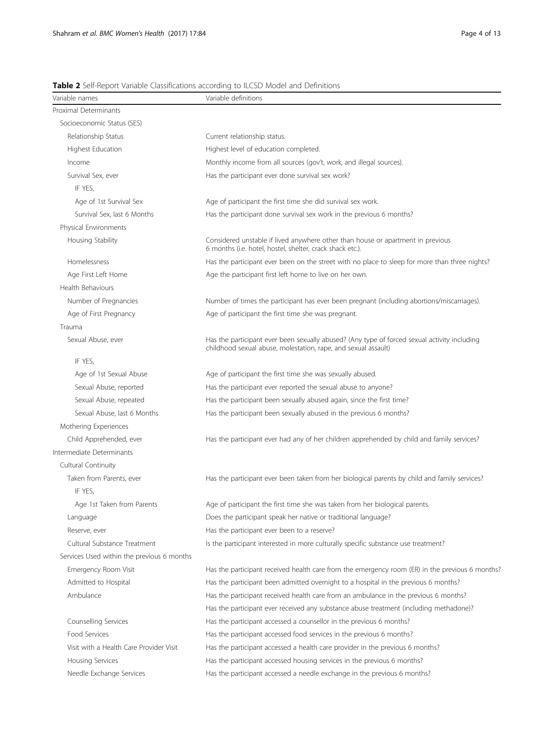| Variable names                             | Variable definitions                                                                                                                                           |
|--------------------------------------------|----------------------------------------------------------------------------------------------------------------------------------------------------------------|
| Proximal Determinants                      |                                                                                                                                                                |
| Socioeconomic Status (SES)                 |                                                                                                                                                                |
| Relationship Status                        | Current relationship status.                                                                                                                                   |
| Highest Education                          | Highest level of education completed.                                                                                                                          |
| Income                                     | Monthly income from all sources (gov't, work, and illegal sources).                                                                                            |
| Survival Sex, ever                         | Has the participant ever done survival sex work?                                                                                                               |
| IF YES,                                    |                                                                                                                                                                |
| Age of 1st Survival Sex                    | Age of participant the first time she did survival sex work.                                                                                                   |
| Survival Sex, last 6 Months                | Has the participant done survival sex work in the previous 6 months?                                                                                           |
| Physical Environments                      |                                                                                                                                                                |
| Housing Stability                          | Considered unstable if lived anywhere other than house or apartment in previous<br>6 months (i.e. hotel, hostel, shelter, crack shack etc.).                   |
| Homelessness                               | Has the participant ever been on the street with no place to sleep for more than three nights?                                                                 |
| Age First Left Home                        | Age the participant first left home to live on her own.                                                                                                        |
| Health Behaviours                          |                                                                                                                                                                |
| Number of Pregnancies                      | Number of times the participant has ever been pregnant (including abortions/miscarriages).                                                                     |
| Age of First Pregnancy                     | Age of participant the first time she was pregnant.                                                                                                            |
| Trauma                                     |                                                                                                                                                                |
| Sexual Abuse, ever                         | Has the participant ever been sexually abused? (Any type of forced sexual activity including<br>childhood sexual abuse, molestation, rape, and sexual assault) |
| IF YES,                                    |                                                                                                                                                                |
| Age of 1st Sexual Abuse                    | Age of participant the first time she was sexually abused.                                                                                                     |
| Sexual Abuse, reported                     | Has the participant ever reported the sexual abuse to anyone?                                                                                                  |
| Sexual Abuse, repeated                     | Has the participant been sexually abused again, since the first time?                                                                                          |
| Sexual Abuse, last 6 Months                | Has the participant been sexually abused in the previous 6 months?                                                                                             |
| Mothering Experiences                      |                                                                                                                                                                |
| Child Apprehended, ever                    | Has the participant ever had any of her children apprehended by child and family services?                                                                     |
| Intermediate Determinants                  |                                                                                                                                                                |
| Cultural Continuity                        |                                                                                                                                                                |
| Taken from Parents, ever<br>IF YES,        | Has the participant ever been taken from her biological parents by child and family services?                                                                  |
| Age 1st Taken from Parents                 | Age of participant the first time she was taken from her biological parents.                                                                                   |
| Language                                   | Does the participant speak her native or traditional language?                                                                                                 |
| Reserve, ever                              | Has the participant ever been to a reserve?                                                                                                                    |
| Cultural Substance Treatment               | Is the participant interested in more culturally specific substance use treatment?                                                                             |
| Services Used within the previous 6 months |                                                                                                                                                                |
| Emergency Room Visit                       | Has the participant received health care from the emergency room (ER) in the previous 6 months?                                                                |
| Admitted to Hospital                       | Has the participant been admitted overnight to a hospital in the previous 6 months?                                                                            |
| Ambulance                                  | Has the participant received health care from an ambulance in the previous 6 months?                                                                           |
|                                            | Has the participant ever received any substance abuse treatment (including methadone)?                                                                         |
| Counselling Services                       | Has the participant accessed a counsellor in the previous 6 months?                                                                                            |
| Food Services                              | Has the participant accessed food services in the previous 6 months?                                                                                           |
| Visit with a Health Care Provider Visit    | Has the participant accessed a health care provider in the previous 6 months?                                                                                  |
| Housing Services                           | Has the participant accessed housing services in the previous 6 months?                                                                                        |
| Needle Exchange Services                   | Has the participant accessed a needle exchange in the previous 6 months?                                                                                       |
|                                            |                                                                                                                                                                |

<span id="page-3-0"></span>Table 2 Self-Report Variable Classifications according to ILCSD Model and Definitions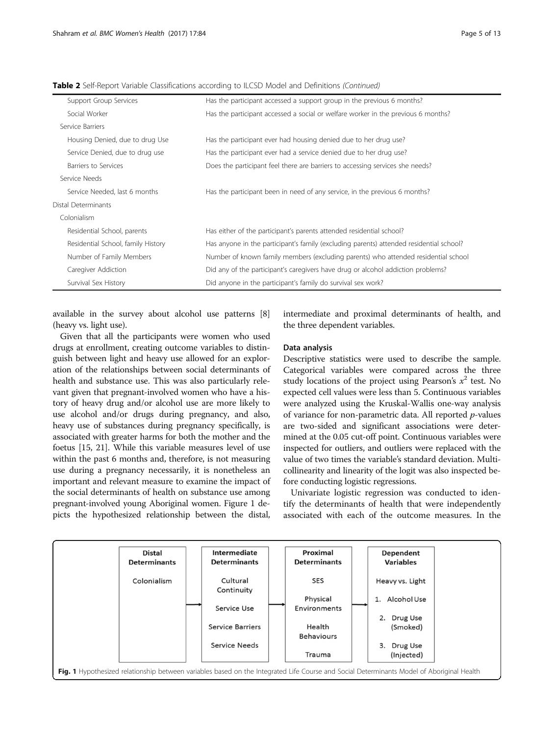| Support Group Services             | Has the participant accessed a support group in the previous 6 months?                  |
|------------------------------------|-----------------------------------------------------------------------------------------|
| Social Worker                      | Has the participant accessed a social or welfare worker in the previous 6 months?       |
| Service Barriers                   |                                                                                         |
| Housing Denied, due to drug Use    | Has the participant ever had housing denied due to her drug use?                        |
| Service Denied, due to drug use    | Has the participant ever had a service denied due to her drug use?                      |
| Barriers to Services               | Does the participant feel there are barriers to accessing services she needs?           |
| Service Needs                      |                                                                                         |
| Service Needed, last 6 months      | Has the participant been in need of any service, in the previous 6 months?              |
| Distal Determinants                |                                                                                         |
| Colonialism                        |                                                                                         |
| Residential School, parents        | Has either of the participant's parents attended residential school?                    |
| Residential School, family History | Has anyone in the participant's family (excluding parents) attended residential school? |
| Number of Family Members           | Number of known family members (excluding parents) who attended residential school      |
| Caregiver Addiction                | Did any of the participant's caregivers have drug or alcohol addiction problems?        |
| Survival Sex History               | Did anyone in the participant's family do survival sex work?                            |

<span id="page-4-0"></span>Table 2 Self-Report Variable Classifications according to ILCSD Model and Definitions (Continued)

available in the survey about alcohol use patterns [[8](#page-11-0)] (heavy vs. light use).

Given that all the participants were women who used drugs at enrollment, creating outcome variables to distinguish between light and heavy use allowed for an exploration of the relationships between social determinants of health and substance use. This was also particularly relevant given that pregnant-involved women who have a history of heavy drug and/or alcohol use are more likely to use alcohol and/or drugs during pregnancy, and also, heavy use of substances during pregnancy specifically, is associated with greater harms for both the mother and the foetus [[15](#page-11-0), [21\]](#page-11-0). While this variable measures level of use within the past 6 months and, therefore, is not measuring use during a pregnancy necessarily, it is nonetheless an important and relevant measure to examine the impact of the social determinants of health on substance use among pregnant-involved young Aboriginal women. Figure 1 depicts the hypothesized relationship between the distal, intermediate and proximal determinants of health, and the three dependent variables.

## Data analysis

Descriptive statistics were used to describe the sample. Categorical variables were compared across the three study locations of the project using Pearson's  $x^2$  test. No expected cell values were less than 5. Continuous variables were analyzed using the Kruskal-Wallis one-way analysis of variance for non-parametric data. All reported  $p$ -values are two-sided and significant associations were determined at the 0.05 cut-off point. Continuous variables were inspected for outliers, and outliers were replaced with the value of two times the variable's standard deviation. Multicollinearity and linearity of the logit was also inspected before conducting logistic regressions.

Univariate logistic regression was conducted to identify the determinants of health that were independently associated with each of the outcome measures. In the

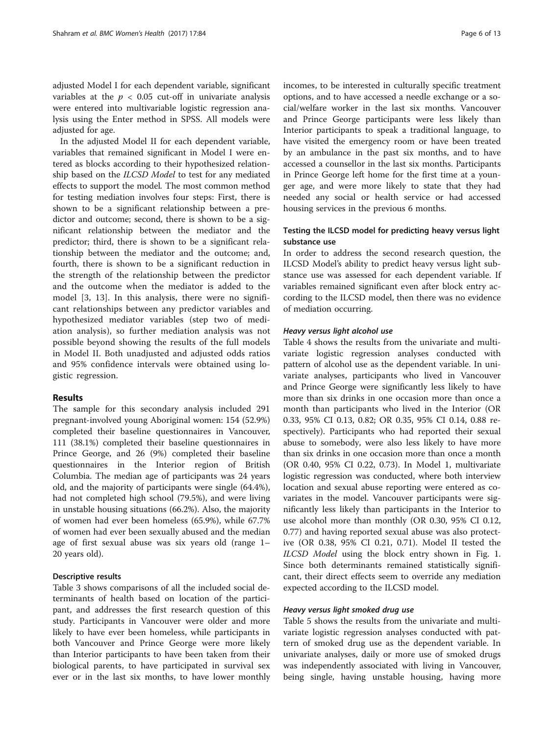adjusted Model I for each dependent variable, significant variables at the  $p < 0.05$  cut-off in univariate analysis were entered into multivariable logistic regression analysis using the Enter method in SPSS. All models were adjusted for age.

In the adjusted Model II for each dependent variable, variables that remained significant in Model I were entered as blocks according to their hypothesized relationship based on the ILCSD Model to test for any mediated effects to support the model. The most common method for testing mediation involves four steps: First, there is shown to be a significant relationship between a predictor and outcome; second, there is shown to be a significant relationship between the mediator and the predictor; third, there is shown to be a significant relationship between the mediator and the outcome; and, fourth, there is shown to be a significant reduction in the strength of the relationship between the predictor and the outcome when the mediator is added to the model [[3, 13\]](#page-11-0). In this analysis, there were no significant relationships between any predictor variables and hypothesized mediator variables (step two of mediation analysis), so further mediation analysis was not possible beyond showing the results of the full models in Model II. Both unadjusted and adjusted odds ratios and 95% confidence intervals were obtained using logistic regression.

## Results

The sample for this secondary analysis included 291 pregnant-involved young Aboriginal women: 154 (52.9%) completed their baseline questionnaires in Vancouver, 111 (38.1%) completed their baseline questionnaires in Prince George, and 26 (9%) completed their baseline questionnaires in the Interior region of British Columbia. The median age of participants was 24 years old, and the majority of participants were single (64.4%), had not completed high school (79.5%), and were living in unstable housing situations (66.2%). Also, the majority of women had ever been homeless (65.9%), while 67.7% of women had ever been sexually abused and the median age of first sexual abuse was six years old (range 1– 20 years old).

## Descriptive results

Table [3](#page-6-0) shows comparisons of all the included social determinants of health based on location of the participant, and addresses the first research question of this study. Participants in Vancouver were older and more likely to have ever been homeless, while participants in both Vancouver and Prince George were more likely than Interior participants to have been taken from their biological parents, to have participated in survival sex ever or in the last six months, to have lower monthly incomes, to be interested in culturally specific treatment options, and to have accessed a needle exchange or a social/welfare worker in the last six months. Vancouver and Prince George participants were less likely than Interior participants to speak a traditional language, to have visited the emergency room or have been treated by an ambulance in the past six months, and to have accessed a counsellor in the last six months. Participants in Prince George left home for the first time at a younger age, and were more likely to state that they had needed any social or health service or had accessed housing services in the previous 6 months.

## Testing the ILCSD model for predicting heavy versus light substance use

In order to address the second research question, the ILCSD Model's ability to predict heavy versus light substance use was assessed for each dependent variable. If variables remained significant even after block entry according to the ILCSD model, then there was no evidence of mediation occurring.

## Heavy versus light alcohol use

Table [4](#page-7-0) shows the results from the univariate and multivariate logistic regression analyses conducted with pattern of alcohol use as the dependent variable. In univariate analyses, participants who lived in Vancouver and Prince George were significantly less likely to have more than six drinks in one occasion more than once a month than participants who lived in the Interior (OR 0.33, 95% CI 0.13, 0.82; OR 0.35, 95% CI 0.14, 0.88 respectively). Participants who had reported their sexual abuse to somebody, were also less likely to have more than six drinks in one occasion more than once a month (OR 0.40, 95% CI 0.22, 0.73). In Model 1, multivariate logistic regression was conducted, where both interview location and sexual abuse reporting were entered as covariates in the model. Vancouver participants were significantly less likely than participants in the Interior to use alcohol more than monthly (OR 0.30, 95% CI 0.12, 0.77) and having reported sexual abuse was also protective (OR 0.38, 95% CI 0.21, 0.71). Model II tested the ILCSD Model using the block entry shown in Fig. [1](#page-4-0). Since both determinants remained statistically significant, their direct effects seem to override any mediation expected according to the ILCSD model.

## Heavy versus light smoked drug use

Table [5](#page-8-0) shows the results from the univariate and multivariate logistic regression analyses conducted with pattern of smoked drug use as the dependent variable. In univariate analyses, daily or more use of smoked drugs was independently associated with living in Vancouver, being single, having unstable housing, having more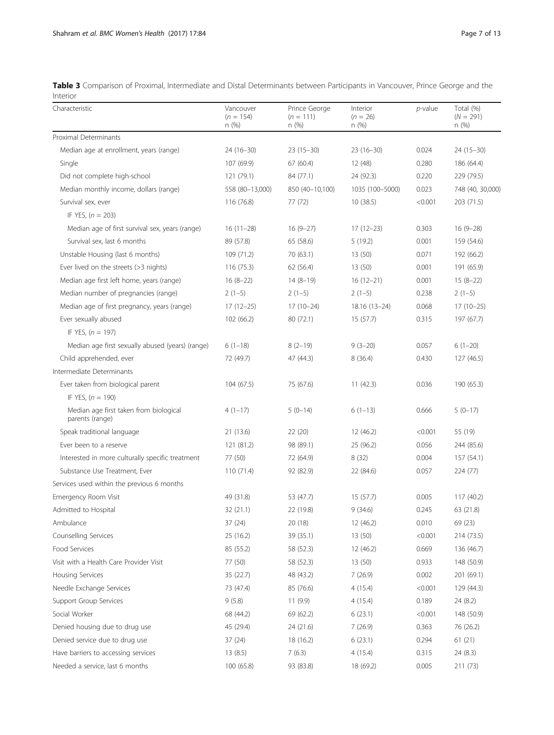<span id="page-6-0"></span>

| Table 3 Comparison of Proximal, Intermediate and Distal Determinants between Participants in Vancouver, Prince George and the |  |  |  |  |  |
|-------------------------------------------------------------------------------------------------------------------------------|--|--|--|--|--|
| Interior                                                                                                                      |  |  |  |  |  |

| Characteristic                                            | Vancouver<br>$(n = 154)$<br>n(%) | Prince George<br>$(n = 111)$<br>n(%) | Interior<br>$(n = 26)$<br>n(%) | $p$ -value | Total (%)<br>$(N = 291)$<br>n(%) |
|-----------------------------------------------------------|----------------------------------|--------------------------------------|--------------------------------|------------|----------------------------------|
| Proximal Determinants                                     |                                  |                                      |                                |            |                                  |
| Median age at enrollment, years (range)                   | $24(16-30)$                      | $23(15-30)$                          | $23(16-30)$                    | 0.024      | 24 (15-30)                       |
| Single                                                    | 107 (69.9)                       | 67 (60.4)                            | 12 (48)                        | 0.280      | 186 (64.4)                       |
| Did not complete high-school                              | 121 (79.1)                       | 84 (77.1)                            | 24 (92.3)                      | 0.220      | 229 (79.5)                       |
| Median monthly income, dollars (range)                    | 558 (80-13,000)                  | 850 (40-10,100)                      | 1035 (100-5000)                | 0.023      | 748 (40, 30,000)                 |
| Survival sex, ever                                        | 116 (76.8)                       | 77 (72)                              | 10(38.5)                       | < 0.001    | 203 (71.5)                       |
| IF YES, $(n = 203)$                                       |                                  |                                      |                                |            |                                  |
| Median age of first survival sex, years (range)           | $16(11-28)$                      | $16(9-27)$                           | $17(12-23)$                    | 0.303      | $16(9-28)$                       |
| Survival sex, last 6 months                               | 89 (57.8)                        | 65 (58.6)                            | 5(19.2)                        | 0.001      | 159 (54.6)                       |
| Unstable Housing (last 6 months)                          | 109(71.2)                        | 70 (63.1)                            | 13(50)                         | 0.071      | 192 (66.2)                       |
| Ever lived on the streets (>3 nights)                     | 116(75.3)                        | 62 (56.4)                            | 13(50)                         | 0.001      | 191 (65.9)                       |
| Median age first left home, years (range)                 | $16(8-22)$                       | $14(8-19)$                           | $16(12-21)$                    | 0.001      | $15(8-22)$                       |
| Median number of pregnancies (range)                      | $2(1-5)$                         | $2(1-5)$                             | $2(1-5)$                       | 0.238      | $2(1-5)$                         |
| Median age of first pregnancy, years (range)              | $17(12-25)$                      | $17(10-24)$                          | 18.16 (13-24)                  | 0.068      | $17(10-25)$                      |
| Ever sexually abused                                      | 102(66.2)                        | 80 (72.1)                            | 15(57.7)                       | 0.315      | 197 (67.7)                       |
| IF YES, $(n = 197)$                                       |                                  |                                      |                                |            |                                  |
| Median age first sexually abused (years) (range)          | $6(1-18)$                        | $8(2-19)$                            | $9(3-20)$                      | 0.057      | $6(1-20)$                        |
| Child apprehended, ever                                   | 72 (49.7)                        | 47 (44.3)                            | 8(36.4)                        | 0.430      | 127 (46.5)                       |
| Intermediate Determinants                                 |                                  |                                      |                                |            |                                  |
| Ever taken from biological parent                         | 104(67.5)                        | 75 (67.6)                            | 11(42.3)                       | 0.036      | 190 (65.3)                       |
| IF YES, $(n = 190)$                                       |                                  |                                      |                                |            |                                  |
| Median age first taken from biological<br>parents (range) | $4(1-17)$                        | $5(0-14)$                            | $6(1-13)$                      | 0.666      | $5(0-17)$                        |
| Speak traditional language                                | 21 (13.6)                        | 22(20)                               | 12 (46.2)                      | < 0.001    | 55 (19)                          |
| Ever been to a reserve                                    | 121 (81.2)                       | 98 (89.1)                            | 25 (96.2)                      | 0.056      | 244 (85.6)                       |
| Interested in more culturally specific treatment          | 77 (50)                          | 72 (64.9)                            | 8(32)                          | 0.004      | 157 (54.1)                       |
| Substance Use Treatment, Ever                             | 110(71.4)                        | 92 (82.9)                            | 22 (84.6)                      | 0.057      | 224 (77)                         |
| Services used within the previous 6 months                |                                  |                                      |                                |            |                                  |
| Emergency Room Visit                                      | 49 (31.8)                        | 53 (47.7)                            | 15(57.7)                       | 0.005      | 117(40.2)                        |
| Admitted to Hospital                                      | 32 (21.1)                        | 22 (19.8)                            | 9(34.6)                        | 0.245      | 63 (21.8)                        |
| Ambulance                                                 | 37 (24)                          | 20 (18)                              | 12 (46.2)                      | 0.010      | 69 (23)                          |
| Counselling Services                                      | 25 (16.2)                        | 39 (35.1)                            | 13 (50)                        | < 0.001    | 214 (73.5)                       |
| Food Services                                             | 85 (55.2)                        | 58 (52.3)                            | 12 (46.2)                      | 0.669      | 136 (46.7)                       |
| Visit with a Health Care Provider Visit                   | 77 (50)                          | 58 (52.3)                            | 13 (50)                        | 0.933      | 148 (50.9)                       |
| Housing Services                                          | 35 (22.7)                        | 48 (43.2)                            | 7(26.9)                        | 0.002      | 201 (69.1)                       |
| Needle Exchange Services                                  | 73 (47.4)                        | 85 (76.6)                            | 4(15.4)                        | < 0.001    | 129 (44.3)                       |
| Support Group Services                                    | 9(5.8)                           | 11(9.9)                              | 4 (15.4)                       | 0.189      | 24 (8.2)                         |
| Social Worker                                             | 68 (44.2)                        | 69 (62.2)                            | 6(23.1)                        | < 0.001    | 148 (50.9)                       |
| Denied housing due to drug use                            | 45 (29.4)                        | 24 (21.6)                            | 7(26.9)                        | 0.363      | 76 (26.2)                        |
| Denied service due to drug use                            | 37(24)                           | 18 (16.2)                            | 6(23.1)                        | 0.294      | 61(21)                           |
| Have barriers to accessing services                       | 13(8.5)                          | 7(6.3)                               | 4 (15.4)                       | 0.315      | 24 (8.3)                         |
| Needed a service, last 6 months                           | 100 (65.8)                       | 93 (83.8)                            | 18 (69.2)                      | 0.005      | 211 (73)                         |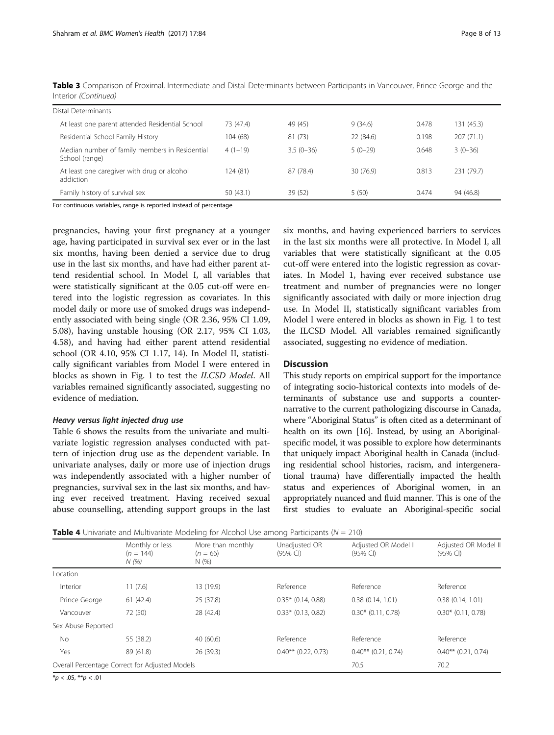| Distal Determinants                                              |           |             |           |       |            |
|------------------------------------------------------------------|-----------|-------------|-----------|-------|------------|
| At least one parent attended Residential School                  | 73 (47.4) | 49 (45)     | 9(34.6)   | 0.478 | 131 (45.3) |
| Residential School Family History                                | 104 (68)  | 81 (73)     | 22 (84.6) | 0.198 | 207(71.1)  |
| Median number of family members in Residential<br>School (range) | $4(1-19)$ | $3.5(0-36)$ | $5(0-29)$ | 0.648 | $3(0-36)$  |
| At least one caregiver with drug or alcohol<br>addiction         | 124 (81)  | 87 (78.4)   | 30 (76.9) | 0.813 | 231 (79.7) |
| Family history of survival sex                                   | 50 (43.1) | 39 (52)     | 5(50)     | 0.474 | 94 (46.8)  |

<span id="page-7-0"></span>Table 3 Comparison of Proximal, Intermediate and Distal Determinants between Participants in Vancouver, Prince George and the Interior (Continued)

For continuous variables, range is reported instead of percentage

pregnancies, having your first pregnancy at a younger age, having participated in survival sex ever or in the last six months, having been denied a service due to drug use in the last six months, and have had either parent attend residential school. In Model I, all variables that were statistically significant at the 0.05 cut-off were entered into the logistic regression as covariates. In this model daily or more use of smoked drugs was independently associated with being single (OR 2.36, 95% CI 1.09, 5.08), having unstable housing (OR 2.17, 95% CI 1.03, 4.58), and having had either parent attend residential school (OR 4.10, 95% CI 1.17, 14). In Model II, statistically significant variables from Model I were entered in blocks as shown in Fig. [1](#page-4-0) to test the ILCSD Model. All variables remained significantly associated, suggesting no evidence of mediation.

## Heavy versus light injected drug use

Table [6](#page-9-0) shows the results from the univariate and multivariate logistic regression analyses conducted with pattern of injection drug use as the dependent variable. In univariate analyses, daily or more use of injection drugs was independently associated with a higher number of pregnancies, survival sex in the last six months, and having ever received treatment. Having received sexual abuse counselling, attending support groups in the last

six months, and having experienced barriers to services in the last six months were all protective. In Model I, all variables that were statistically significant at the 0.05 cut-off were entered into the logistic regression as covariates. In Model 1, having ever received substance use treatment and number of pregnancies were no longer significantly associated with daily or more injection drug use. In Model II, statistically significant variables from Model I were entered in blocks as shown in Fig. [1](#page-4-0) to test the ILCSD Model. All variables remained significantly associated, suggesting no evidence of mediation.

## **Discussion**

This study reports on empirical support for the importance of integrating socio-historical contexts into models of determinants of substance use and supports a counternarrative to the current pathologizing discourse in Canada, where "Aboriginal Status" is often cited as a determinant of health on its own [\[16\]](#page-11-0). Instead, by using an Aboriginalspecific model, it was possible to explore how determinants that uniquely impact Aboriginal health in Canada (including residential school histories, racism, and intergenerational trauma) have differentially impacted the health status and experiences of Aboriginal women, in an appropriately nuanced and fluid manner. This is one of the first studies to evaluate an Aboriginal-specific social

**Table 4** Univariate and Multivariate Modeling for Alcohol Use among Participants ( $N = 210$ )

|                    | Monthly or less<br>$(n = 144)$<br>N(%)         | More than monthly<br>$(n = 66)$<br>N(%) | Unadjusted OR<br>$(95%$ CI) | Adjusted OR Model I<br>$(95%$ CI) | Adjusted OR Model II<br>$(95%$ CI) |
|--------------------|------------------------------------------------|-----------------------------------------|-----------------------------|-----------------------------------|------------------------------------|
| Location           |                                                |                                         |                             |                                   |                                    |
| Interior           | 11(7.6)                                        | 13 (19.9)                               | Reference                   | Reference                         | Reference                          |
| Prince George      | 61(42.4)                                       | 25 (37.8)                               | $0.35*$ (0.14, 0.88)        | 0.38(0.14, 1.01)                  | 0.38(0.14, 1.01)                   |
| Vancouver          | 72 (50)                                        | 28 (42.4)                               | $0.33*$ (0.13, 0.82)        | $0.30*$ (0.11, 0.78)              | $0.30*$ (0.11, 0.78)               |
| Sex Abuse Reported |                                                |                                         |                             |                                   |                                    |
| <b>No</b>          | 55 (38.2)                                      | 40(60.6)                                | Reference                   | Reference                         | Reference                          |
| Yes                | 89 (61.8)                                      | 26 (39.3)                               | $0.40***$ (0.22, 0.73)      | $0.40**$ (0.21, 0.74)             | $0.40**$ (0.21, 0.74)              |
|                    | Overall Percentage Correct for Adjusted Models |                                         |                             | 70.5                              | 70.2                               |

 $*p < .05, **p < .01$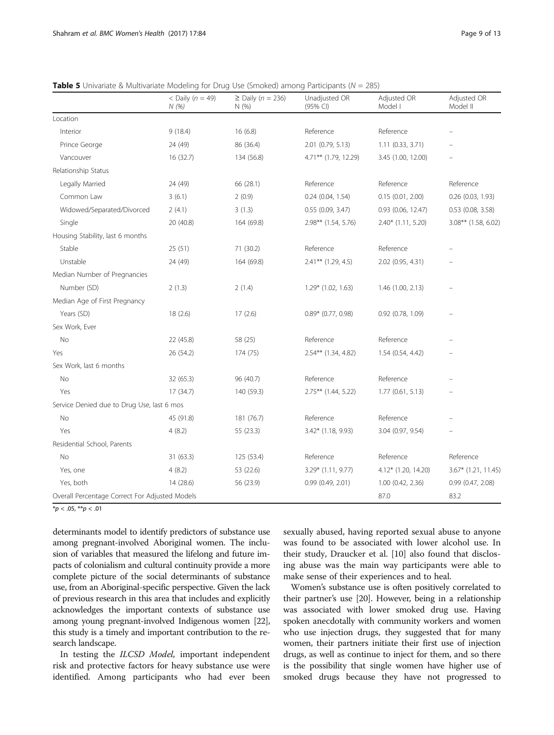<span id="page-8-0"></span>**Table 5** Univariate & Multivariate Modeling for Drug Use (Smoked) among Participants ( $N = 285$ )

|                                                | $<$ Daily ( $n = 49$ )<br>N(%) | $\geq$ Daily (n = 236)<br>N(% | Unadjusted OR<br>(95% CI) | Adjusted OR<br>Model I | Adjusted OR<br>Model II  |
|------------------------------------------------|--------------------------------|-------------------------------|---------------------------|------------------------|--------------------------|
| Location                                       |                                |                               |                           |                        |                          |
| Interior                                       | 9(18.4)                        | 16(6.8)                       | Reference                 | Reference              | $\overline{\phantom{0}}$ |
| Prince George                                  | 24 (49)                        | 86 (36.4)                     | 2.01 (0.79, 5.13)         | 1.11 (0.33, 3.71)      |                          |
| Vancouver                                      | 16 (32.7)                      | 134 (56.8)                    | 4.71** (1.79, 12.29)      | 3.45 (1.00, 12.00)     | $\overline{\phantom{0}}$ |
| Relationship Status                            |                                |                               |                           |                        |                          |
| Legally Married                                | 24 (49)                        | 66 (28.1)                     | Reference                 | Reference              | Reference                |
| Common Law                                     | 3(6.1)                         | 2(0.9)                        | 0.24(0.04, 1.54)          | 0.15(0.01, 2.00)       | $0.26$ (0.03, 1.93)      |
| Widowed/Separated/Divorced                     | 2(4.1)                         | 3(1.3)                        | 0.55(0.09, 3.47)          | 0.93 (0.06, 12.47)     | $0.53$ (0.08, 3.58)      |
| Single                                         | 20 (40.8)                      | 164 (69.8)                    | 2.98** (1.54, 5.76)       | $2.40*$ (1.11, 5.20)   | $3.08***$ (1.58, 6.02)   |
| Housing Stability, last 6 months               |                                |                               |                           |                        |                          |
| Stable                                         | 25(51)                         | 71 (30.2)                     | Reference                 | Reference              |                          |
| Unstable                                       | 24 (49)                        | 164 (69.8)                    | $2.41***$ (1.29, 4.5)     | 2.02 (0.95, 4.31)      |                          |
| Median Number of Pregnancies                   |                                |                               |                           |                        |                          |
| Number (SD)                                    | 2(1.3)                         | 2(1.4)                        | $1.29*$ (1.02, 1.63)      | 1.46 (1.00, 2.13)      |                          |
| Median Age of First Pregnancy                  |                                |                               |                           |                        |                          |
| Years (SD)                                     | 18(2.6)                        | 17(2.6)                       | $0.89*$ (0.77, 0.98)      | 0.92 (0.78, 1.09)      |                          |
| Sex Work, Ever                                 |                                |                               |                           |                        |                          |
| <b>No</b>                                      | 22 (45.8)                      | 58 (25)                       | Reference                 | Reference              |                          |
| Yes                                            | 26 (54.2)                      | 174 (75)                      | 2.54** (1.34, 4.82)       | 1.54 (0.54, 4.42)      |                          |
| Sex Work, last 6 months                        |                                |                               |                           |                        |                          |
| No                                             | 32 (65.3)                      | 96 (40.7)                     | Reference                 | Reference              |                          |
| Yes                                            | 17(34.7)                       | 140 (59.3)                    | 2.75** (1.44, 5.22)       | 1.77(0.61, 5.13)       |                          |
| Service Denied due to Drug Use, last 6 mos     |                                |                               |                           |                        |                          |
| No                                             | 45 (91.8)                      | 181 (76.7)                    | Reference                 | Reference              |                          |
| Yes                                            | 4(8.2)                         | 55 (23.3)                     | $3.42*$ (1.18, 9.93)      | 3.04 (0.97, 9.54)      |                          |
| Residential School, Parents                    |                                |                               |                           |                        |                          |
| No                                             | 31(63.3)                       | 125 (53.4)                    | Reference                 | Reference              | Reference                |
| Yes, one                                       | 4(8.2)                         | 53 (22.6)                     | $3.29*$ (1.11, 9.77)      | 4.12* (1.20, 14.20)    | 3.67* (1.21, 11.45)      |
| Yes, both                                      | 14 (28.6)                      | 56 (23.9)                     | 0.99(0.49, 2.01)          | 1.00 (0.42, 2.36)      | 0.99(0.47, 2.08)         |
| Overall Percentage Correct For Adjusted Models |                                |                               |                           | 87.0                   | 83.2                     |

 $*p < .05, **p < .01$ 

determinants model to identify predictors of substance use among pregnant-involved Aboriginal women. The inclusion of variables that measured the lifelong and future impacts of colonialism and cultural continuity provide a more complete picture of the social determinants of substance use, from an Aboriginal-specific perspective. Given the lack of previous research in this area that includes and explicitly acknowledges the important contexts of substance use among young pregnant-involved Indigenous women [\[22](#page-11-0)], this study is a timely and important contribution to the research landscape.

In testing the *ILCSD Model*, important independent risk and protective factors for heavy substance use were identified. Among participants who had ever been sexually abused, having reported sexual abuse to anyone was found to be associated with lower alcohol use. In their study, Draucker et al. [[10\]](#page-11-0) also found that disclosing abuse was the main way participants were able to make sense of their experiences and to heal.

Women's substance use is often positively correlated to their partner's use [\[20\]](#page-11-0). However, being in a relationship was associated with lower smoked drug use. Having spoken anecdotally with community workers and women who use injection drugs, they suggested that for many women, their partners initiate their first use of injection drugs, as well as continue to inject for them, and so there is the possibility that single women have higher use of smoked drugs because they have not progressed to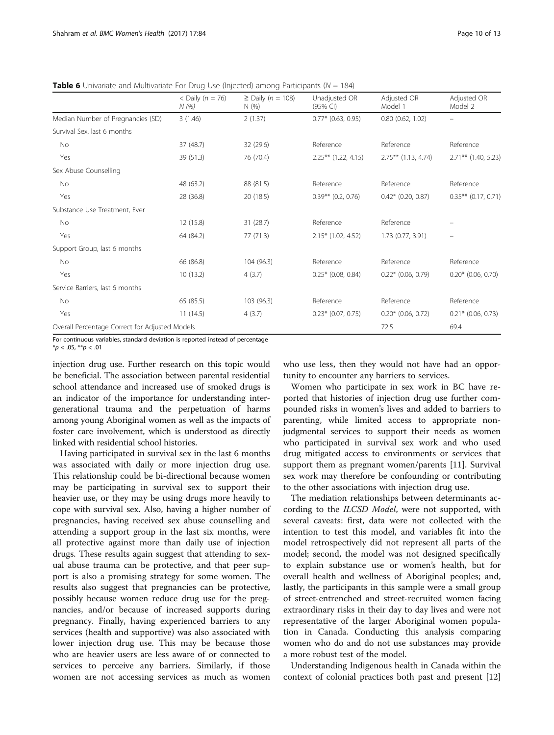<span id="page-9-0"></span>**Table 6** Univariate and Multivariate For Drug Use (Injected) among Participants ( $N = 184$ )

|                                                | $<$ Daily ( $n = 76$ )<br>N (%) | $\geq$ Daily (n = 108)<br>N(% ) | Unadjusted OR<br>(95% CI) | Adjusted OR<br>Model 1 | Adjusted OR<br>Model 2   |
|------------------------------------------------|---------------------------------|---------------------------------|---------------------------|------------------------|--------------------------|
| Median Number of Pregnancies (SD)              | 3(1.46)                         | 2(1.37)                         | $0.77*$ (0.63, 0.95)      | $0.80$ $(0.62, 1.02)$  | $\overline{\phantom{m}}$ |
| Survival Sex, last 6 months                    |                                 |                                 |                           |                        |                          |
| <b>No</b>                                      | 37(48.7)                        | 32 (29.6)                       | Reference                 | Reference              | Reference                |
| Yes                                            | 39 (51.3)                       | 76 (70.4)                       | $2.25***$ (1.22, 4.15)    | $2.75***$ (1.13, 4.74) | 2.71** (1.40, 5.23)      |
| Sex Abuse Counselling                          |                                 |                                 |                           |                        |                          |
| No                                             | 48 (63.2)                       | 88 (81.5)                       | Reference                 | Reference              | Reference                |
| Yes                                            | 28 (36.8)                       | 20 (18.5)                       | $0.39**$ (0.2, 0.76)      | $0.42*$ (0.20, 0.87)   | $0.35***$ (0.17, 0.71)   |
| Substance Use Treatment, Ever                  |                                 |                                 |                           |                        |                          |
| <b>No</b>                                      | 12(15.8)                        | 31 (28.7)                       | Reference                 | Reference              |                          |
| Yes                                            | 64 (84.2)                       | 77 (71.3)                       | $2.15*$ (1.02, 4.52)      | 1.73 (0.77, 3.91)      | $\overline{\phantom{m}}$ |
| Support Group, last 6 months                   |                                 |                                 |                           |                        |                          |
| <b>No</b>                                      | 66 (86.8)                       | 104 (96.3)                      | Reference                 | Reference              | Reference                |
| Yes                                            | 10(13.2)                        | 4(3.7)                          | $0.25*$ (0.08, 0.84)      | $0.22*$ (0.06, 0.79)   | $0.20*$ (0.06, 0.70)     |
| Service Barriers, last 6 months                |                                 |                                 |                           |                        |                          |
| No                                             | 65 (85.5)                       | 103 (96.3)                      | Reference                 | Reference              | Reference                |
| Yes                                            | 11(14.5)                        | 4(3.7)                          | $0.23*$ (0.07, 0.75)      | $0.20*$ (0.06, 0.72)   | $0.21*$ (0.06, 0.73)     |
| Overall Percentage Correct for Adjusted Models |                                 |                                 |                           | 72.5                   | 69.4                     |

For continuous variables, standard deviation is reported instead of percentage  $*<sub>p</sub> < .05, **<sub>p</sub> < .01$ 

injection drug use. Further research on this topic would be beneficial. The association between parental residential school attendance and increased use of smoked drugs is an indicator of the importance for understanding intergenerational trauma and the perpetuation of harms among young Aboriginal women as well as the impacts of foster care involvement, which is understood as directly linked with residential school histories.

Having participated in survival sex in the last 6 months was associated with daily or more injection drug use. This relationship could be bi-directional because women may be participating in survival sex to support their heavier use, or they may be using drugs more heavily to cope with survival sex. Also, having a higher number of pregnancies, having received sex abuse counselling and attending a support group in the last six months, were all protective against more than daily use of injection drugs. These results again suggest that attending to sexual abuse trauma can be protective, and that peer support is also a promising strategy for some women. The results also suggest that pregnancies can be protective, possibly because women reduce drug use for the pregnancies, and/or because of increased supports during pregnancy. Finally, having experienced barriers to any services (health and supportive) was also associated with lower injection drug use. This may be because those who are heavier users are less aware of or connected to services to perceive any barriers. Similarly, if those women are not accessing services as much as women

who use less, then they would not have had an opportunity to encounter any barriers to services.

Women who participate in sex work in BC have reported that histories of injection drug use further compounded risks in women's lives and added to barriers to parenting, while limited access to appropriate nonjudgmental services to support their needs as women who participated in survival sex work and who used drug mitigated access to environments or services that support them as pregnant women/parents [[11\]](#page-11-0). Survival sex work may therefore be confounding or contributing to the other associations with injection drug use.

The mediation relationships between determinants according to the ILCSD Model, were not supported, with several caveats: first, data were not collected with the intention to test this model, and variables fit into the model retrospectively did not represent all parts of the model; second, the model was not designed specifically to explain substance use or women's health, but for overall health and wellness of Aboriginal peoples; and, lastly, the participants in this sample were a small group of street-entrenched and street-recruited women facing extraordinary risks in their day to day lives and were not representative of the larger Aboriginal women population in Canada. Conducting this analysis comparing women who do and do not use substances may provide a more robust test of the model.

Understanding Indigenous health in Canada within the context of colonial practices both past and present [[12](#page-11-0)]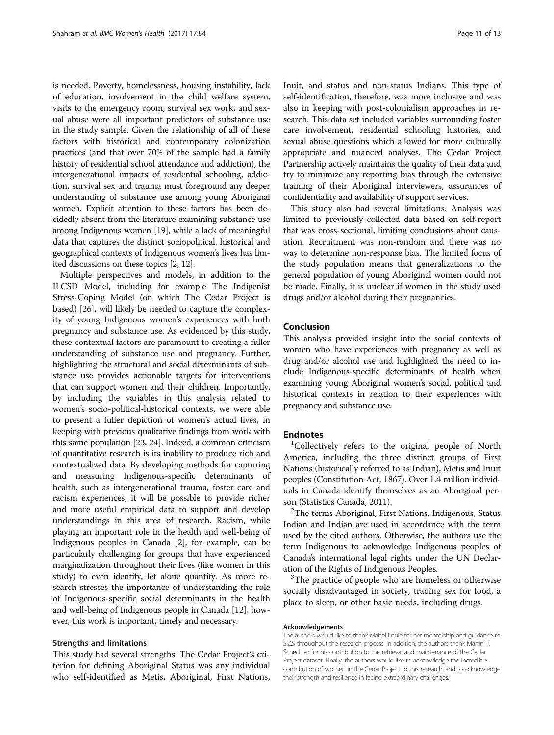is needed. Poverty, homelessness, housing instability, lack of education, involvement in the child welfare system, visits to the emergency room, survival sex work, and sexual abuse were all important predictors of substance use in the study sample. Given the relationship of all of these factors with historical and contemporary colonization practices (and that over 70% of the sample had a family history of residential school attendance and addiction), the intergenerational impacts of residential schooling, addiction, survival sex and trauma must foreground any deeper understanding of substance use among young Aboriginal women. Explicit attention to these factors has been decidedly absent from the literature examining substance use among Indigenous women [\[19\]](#page-11-0), while a lack of meaningful data that captures the distinct sociopolitical, historical and geographical contexts of Indigenous women's lives has limited discussions on these topics [[2](#page-11-0), [12\]](#page-11-0).

Multiple perspectives and models, in addition to the ILCSD Model, including for example The Indigenist Stress-Coping Model (on which The Cedar Project is based) [[26](#page-12-0)], will likely be needed to capture the complexity of young Indigenous women's experiences with both pregnancy and substance use. As evidenced by this study, these contextual factors are paramount to creating a fuller understanding of substance use and pregnancy. Further, highlighting the structural and social determinants of substance use provides actionable targets for interventions that can support women and their children. Importantly, by including the variables in this analysis related to women's socio-political-historical contexts, we were able to present a fuller depiction of women's actual lives, in keeping with previous qualitative findings from work with this same population [\[23, 24](#page-11-0)]. Indeed, a common criticism of quantitative research is its inability to produce rich and contextualized data. By developing methods for capturing and measuring Indigenous-specific determinants of health, such as intergenerational trauma, foster care and racism experiences, it will be possible to provide richer and more useful empirical data to support and develop understandings in this area of research. Racism, while playing an important role in the health and well-being of Indigenous peoples in Canada [\[2](#page-11-0)], for example, can be particularly challenging for groups that have experienced marginalization throughout their lives (like women in this study) to even identify, let alone quantify. As more research stresses the importance of understanding the role of Indigenous-specific social determinants in the health and well-being of Indigenous people in Canada [\[12\]](#page-11-0), however, this work is important, timely and necessary.

#### Strengths and limitations

This study had several strengths. The Cedar Project's criterion for defining Aboriginal Status was any individual who self-identified as Metis, Aboriginal, First Nations, Inuit, and status and non-status Indians. This type of self-identification, therefore, was more inclusive and was also in keeping with post-colonialism approaches in research. This data set included variables surrounding foster care involvement, residential schooling histories, and sexual abuse questions which allowed for more culturally appropriate and nuanced analyses. The Cedar Project Partnership actively maintains the quality of their data and try to minimize any reporting bias through the extensive training of their Aboriginal interviewers, assurances of confidentiality and availability of support services.

This study also had several limitations. Analysis was limited to previously collected data based on self-report that was cross-sectional, limiting conclusions about causation. Recruitment was non-random and there was no way to determine non-response bias. The limited focus of the study population means that generalizations to the general population of young Aboriginal women could not be made. Finally, it is unclear if women in the study used drugs and/or alcohol during their pregnancies.

## Conclusion

This analysis provided insight into the social contexts of women who have experiences with pregnancy as well as drug and/or alcohol use and highlighted the need to include Indigenous-specific determinants of health when examining young Aboriginal women's social, political and historical contexts in relation to their experiences with pregnancy and substance use.

## **Endnotes**

<sup>1</sup>Collectively refers to the original people of North America, including the three distinct groups of First Nations (historically referred to as Indian), Metis and Inuit peoples (Constitution Act, 1867). Over 1.4 million individuals in Canada identify themselves as an Aboriginal person (Statistics Canada, 2011).

<sup>2</sup>The terms Aboriginal, First Nations, Indigenous, Status Indian and Indian are used in accordance with the term used by the cited authors. Otherwise, the authors use the term Indigenous to acknowledge Indigenous peoples of Canada's international legal rights under the UN Declaration of the Rights of Indigenous Peoples. <sup>3</sup>

<sup>3</sup>The practice of people who are homeless or otherwise socially disadvantaged in society, trading sex for food, a place to sleep, or other basic needs, including drugs.

#### Acknowledgements

The authors would like to thank Mabel Louie for her mentorship and guidance to S.Z.S throughout the research process. In addition, the authors thank Martin T. Schechter for his contribution to the retrieval and maintenance of the Cedar Project dataset. Finally, the authors would like to acknowledge the incredible contribution of women in the Cedar Project to this research, and to acknowledge their strength and resilience in facing extraordinary challenges.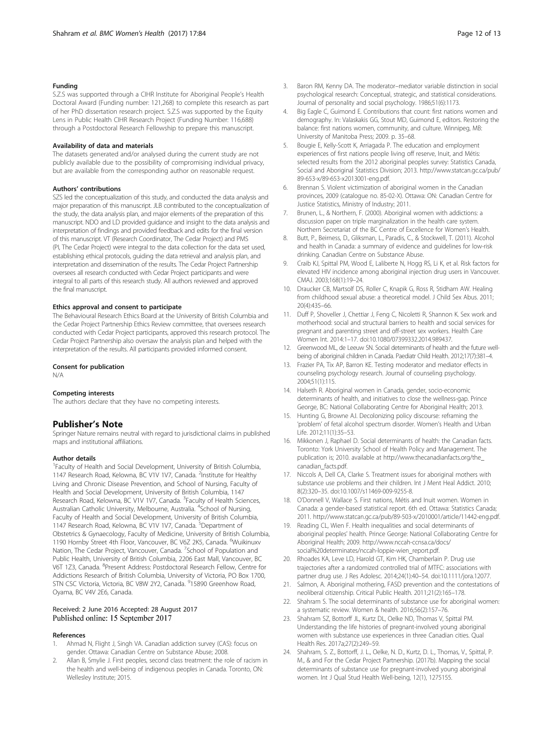## <span id="page-11-0"></span>Funding

S.Z.S was supported through a CIHR Institute for Aboriginal People's Health Doctoral Award (Funding number: 121,268) to complete this research as part of her PhD dissertation research project. S.Z.S was supported by the Equity Lens in Public Health CIHR Research Project (Funding Number: 116,688) through a Postdoctoral Research Fellowship to prepare this manuscript.

#### Availability of data and materials

The datasets generated and/or analysed during the current study are not publicly available due to the possibility of compromising individual privacy, but are available from the corresponding author on reasonable request.

#### Authors' contributions

SZS led the conceptualization of this study, and conducted the data analysis and major preparation of this manuscript. JLB contributed to the conceptualization of the study, the data analysis plan, and major elements of the preparation of this manuscript. NDO and LD provided guidance and insight to the data analysis and interpretation of findings and provided feedback and edits for the final version of this manuscript. VT (Research Coordinator, The Cedar Project) and PMS (PI, The Cedar Project) were integral to the data collection for the data set used, establishing ethical protocols, guiding the data retrieval and analysis plan, and interpretation and dissemination of the results. The Cedar Project Partnership oversees all research conducted with Cedar Project participants and were integral to all parts of this research study. All authors reviewed and approved the final manuscript.

## Ethics approval and consent to participate

The Behavioural Research Ethics Board at the University of British Columbia and the Cedar Project Partnership Ethics Review committee, that oversees research conducted with Cedar Project participants, approved this research protocol. The Cedar Project Partnership also oversaw the analysis plan and helped with the interpretation of the results. All participants provided informed consent.

#### Consent for publication

N/A

#### Competing interests

The authors declare that they have no competing interests.

## Publisher's Note

Springer Nature remains neutral with regard to jurisdictional claims in published maps and institutional affiliations.

#### Author details

<sup>1</sup> Faculty of Health and Social Development, University of British Columbia, 1147 Research Road, Kelowna, BC V1V 1V7, Canada. <sup>2</sup>Institute for Healthy Living and Chronic Disease Prevention, and School of Nursing, Faculty of Health and Social Development, University of British Columbia, 1147 Research Road, Kelowna, BC V1V 1V7, Canada. <sup>3</sup>Faculty of Health Sciences, Australian Catholic University, Melbourne, Australia. <sup>4</sup>School of Nursing, Faculty of Health and Social Development, University of British Columbia, 1147 Research Road, Kelowna, BC V1V 1V7, Canada. <sup>5</sup>Department of Obstetrics & Gynaecology, Faculty of Medicine, University of British Columbia, 1190 Hornby Street 4th Floor, Vancouver, BC V6Z 2K5, Canada. <sup>6</sup>Wuikinuxv Nation, The Cedar Project, Vancouver, Canada. <sup>7</sup>School of Population and Public Health, University of British Columbia, 2206 East Mall, Vancouver, BC V6T 1Z3, Canada. <sup>8</sup>Present Address: Postdoctoral Research Fellow, Centre for Addictions Research of British Columbia, University of Victoria, PO Box 1700, STN CSC Victoria, Victoria, BC V8W 2Y2, Canada. <sup>9</sup>15890 Greenhow Road, Oyama, BC V4V 2E6, Canada.

#### Received: 2 June 2016 Accepted: 28 August 2017 Published online: 15 September 2017

#### References

- Ahmad N, Flight J, Singh VA. Canadian addiction survey (CAS): focus on gender. Ottawa: Canadian Centre on Substance Abuse; 2008.
- Allan B, Smylie J. First peoples, second class treatment: the role of racism in the health and well-being of indigenous peoples in Canada. Toronto, ON: Wellesley Institute; 2015.
- 3. Baron RM, Kenny DA. The moderator–mediator variable distinction in social psychological research: Conceptual, strategic, and statistical considerations. Journal of personality and social psychology. 1986;51(6):1173.
- Big Eagle C, Guimond E. Contributions that count: first nations women and demography. In: Valaskakis GG, Stout MD, Guimond E, editors. Restoring the balance: first nations women, community, and culture. Winnipeg, MB: University of Manitoba Press; 2009. p. 35–68.
- 5. Bougie E, Kelly-Scott K, Arriagada P. The education and employment experiences of first nations people living off reserve, Inuit, and Métis: selected results from the 2012 aboriginal peoples survey: Statistics Canada, Social and Aboriginal Statistics Division; 2013. [http://www.statcan.gc.ca/pub/](http://www.statcan.gc.ca/pub/89-653-x/89-653-x2013001-eng.pdf) [89-653-x/89-653-x2013001-eng.pdf](http://www.statcan.gc.ca/pub/89-653-x/89-653-x2013001-eng.pdf).
- 6. Brennan S. Violent victimization of aboriginal women in the Canadian provinces, 2009 (catalogue no. 85-02-X). Ottawa: ON: Canadian Centre for Justice Statistics, Ministry of Industry; 2011.
- 7. Brunen, L., & Northern, F. (2000). Aboriginal women with addictions: a discussion paper on triple marginalization in the health care system. Northern Secretariat of the BC Centre of Excellence for Women's Health.
- 8. Butt, P., Beirness, D., Gliksman, L., Paradis, C., & Stockwell, T. (2011). Alcohol and health in Canada: a summary of evidence and guidelines for low-risk drinking. Canadian Centre on Substance Abuse.
- 9. Craib KJ, Spittal PM, Wood E, Laliberte N, Hogg RS, Li K, et al. Risk factors for elevated HIV incidence among aboriginal injection drug users in Vancouver. CMAJ. 2003;168(1):19–24.
- 10. Draucker CB, Martsolf DS, Roller C, Knapik G, Ross R, Stidham AW. Healing from childhood sexual abuse: a theoretical model. J Child Sex Abus. 2011; 20(4):435–66.
- 11. Duff P, Shoveller J, Chettiar J, Feng C, Nicoletti R, Shannon K. Sex work and motherhood: social and structural barriers to health and social services for pregnant and parenting street and off-street sex workers. Health Care Women Int. 2014:1–17. doi[:10.1080/07399332.2014.989437](http://dx.doi.org/10.1080/07399332.2014.989437).
- 12. Greenwood ML, de Leeuw SN. Social determinants of health and the future wellbeing of aboriginal children in Canada. Paediatr Child Health. 2012;17(7):381–4.
- 13. Frazier PA, Tix AP, Barron KE. Testing moderator and mediator effects in counseling psychology research. Journal of counseling psychology. 2004;51(1):115.
- 14. Halseth R. Aboriginal women in Canada, gender, socio-economic determinants of health, and initiatives to close the wellness-gap. Prince George, BC: National Collaborating Centre for Aboriginal Health; 2013.
- 15. Hunting G, Browne AJ. Decolonizing policy discourse: reframing the 'problem' of fetal alcohol spectrum disorder. Women's Health and Urban Life. 2012;11(1):35–53.
- 16. Mikkonen J, Raphael D. Social determinants of health: the Canadian facts. Toronto: York University School of Health Policy and Management. The publication is; 2010. available at [http://www.thecanadianfacts.org/the\\_](http://www.thecanadianfacts.org/the_canadian_facts.pdf) [canadian\\_facts.pdf.](http://www.thecanadianfacts.org/the_canadian_facts.pdf)
- 17. Niccols A, Dell CA, Clarke S. Treatment issues for aboriginal mothers with substance use problems and their children. Int J Ment Heal Addict. 2010; 8(2):320–35. doi:[10.1007/s11469-009-9255-8](http://dx.doi.org/10.1007/s11469-009-9255-8).
- 18. O'Donnell V, Wallace S. First nations, Métis and Inuit women. Women in Canada: a gender-based statistical report. 6th ed. Ottawa: Statistics Canada; 2011. [http://www.statcan.gc.ca/pub/89-503-x/2010001/article/11442-eng.pdf.](http://www.statcan.gc.ca/pub/89-503-x/2010001/article/11442-eng.pdf)
- 19. Reading CL, Wien F. Health inequalities and social determinants of aboriginal peoples' health. Prince George: National Collaborating Centre for Aboriginal Health; 2009. [http://www.nccah-ccnsa.ca/docs/](http://www.nccah-ccnsa.ca/docs/social%20determinates/nccah-loppie-wien_report.pdf) [social%20determinates/nccah-loppie-wien\\_report.pdf.](http://www.nccah-ccnsa.ca/docs/social%20determinates/nccah-loppie-wien_report.pdf)
- 20. Rhoades KA, Leve LD, Harold GT, Kim HK, Chamberlain P. Drug use trajectories after a randomized controlled trial of MTFC: associations with partner drug use. J Res Adolesc. 2014;24(1):40–54. doi:[10.1111/jora.12077.](http://dx.doi.org/10.1111/jora.12077)
- 21. Salmon, A. Aboriginal mothering, FASD prevention and the contestations of neoliberal citizenship. Critical Public Health. 2011;21(2):165–178.
- 22. Shahram S. The social determinants of substance use for aboriginal women: a systematic review. Women & health. 2016;56(2):157–76.
- 23. Shahram SZ, Bottorff JL, Kurtz DL, Oelke ND, Thomas V, Spittal PM. Understanding the life histories of pregnant-involved young aboriginal women with substance use experiences in three Canadian cities. Qual Health Res. 2017a;27(2):249–59.
- 24. Shahram, S. Z., Bottorff, J. L., Oelke, N. D., Kurtz, D. L., Thomas, V., Spittal, P. M., & and For the Cedar Project Partnership. (2017b). Mapping the social determinants of substance use for pregnant-involved young aboriginal women. Int J Qual Stud Health Well-being, 12(1), 1275155.